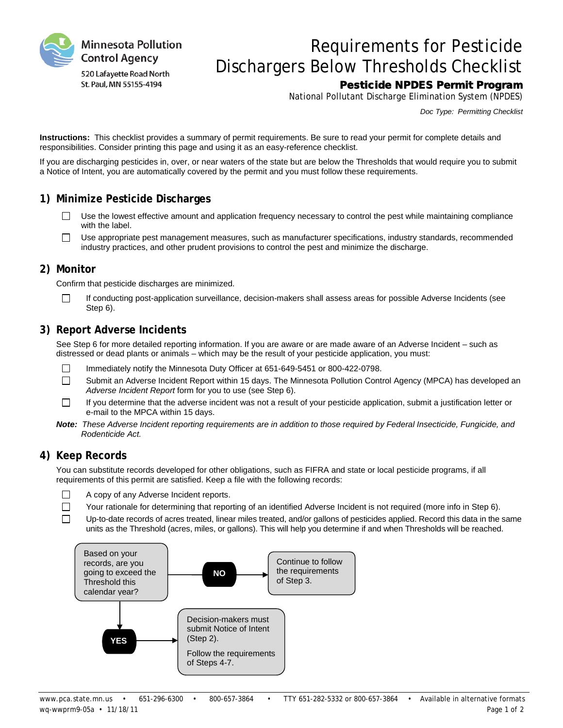

# Requirements for Pesticide Dischargers Below Thresholds Checklist

## Pesticide NPDES Permit Program

National Pollutant Discharge Elimination System (NPDES)

*Doc Type: Permitting Checklist*

**Instructions:** This checklist provides a summary of permit requirements. Be sure to read your permit for complete details and responsibilities. Consider printing this page and using it as an easy-reference checklist.

If you are discharging pesticides in, over, or near waters of the state but are below the Thresholds that would require you to submit a Notice of Intent, you are automatically covered by the permit and you must follow these requirements.

## **1) Minimize Pesticide Discharges**

- $\Box$ Use the lowest effective amount and application frequency necessary to control the pest while maintaining compliance with the label.
- $\Box$ Use appropriate pest management measures, such as manufacturer specifications, industry standards, recommended industry practices, and other prudent provisions to control the pest and minimize the discharge.

## **2) Monitor**

Confirm that pesticide discharges are minimized.

If conducting post-application surveillance, decision-makers shall assess areas for possible Adverse Incidents (see Step 6).

## **3) Report Adverse Incidents**

See Step 6 for more detailed reporting information. If you are aware or are made aware of an Adverse Incident – such as distressed or dead plants or animals – which may be the result of your pesticide application, you must:

- $\Box$ Immediately notify the Minnesota Duty Officer at 651-649-5451 or 800-422-0798.
- $\Box$ Submit an Adverse Incident Report within 15 days. The Minnesota Pollution Control Agency (MPCA) has developed an *Adverse Incident Report* form for you to use (see Step 6).
- If you determine that the adverse incident was not a result of your pesticide application, submit a justification letter or  $\Box$ e-mail to the MPCA within 15 days.
- *Note: These Adverse Incident reporting requirements are in addition to those required by Federal Insecticide, Fungicide, and Rodenticide Act.*

### **4) Keep Records**

 $\Box$ 

You can substitute records developed for other obligations, such as FIFRA and state or local pesticide programs, if all requirements of this permit are satisfied. Keep a file with the following records:

- $\Box$ A copy of any Adverse Incident reports.
	- Your rationale for determining that reporting of an identified Adverse Incident is not required (more info in Step 6).
- $\Box$ Up-to-date records of acres treated, linear miles treated, and/or gallons of pesticides applied. Record this data in the same units as the Threshold (acres, miles, or gallons). This will help you determine if and when Thresholds will be reached.